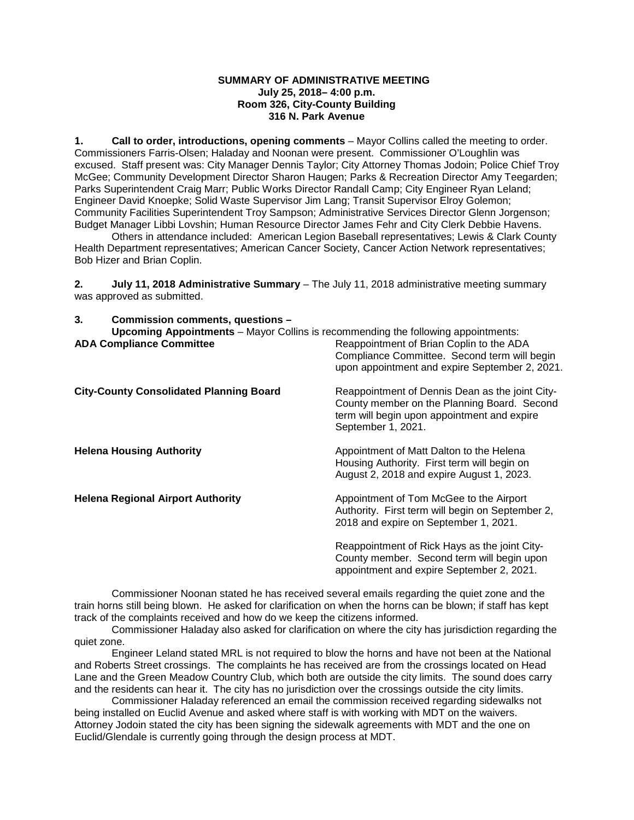#### **SUMMARY OF ADMINISTRATIVE MEETING July 25, 2018– 4:00 p.m. Room 326, City-County Building 316 N. Park Avenue**

**1. Call to order, introductions, opening comments** – Mayor Collins called the meeting to order. Commissioners Farris-Olsen; Haladay and Noonan were present. Commissioner O'Loughlin was excused. Staff present was: City Manager Dennis Taylor; City Attorney Thomas Jodoin; Police Chief Troy McGee; Community Development Director Sharon Haugen; Parks & Recreation Director Amy Teegarden; Parks Superintendent Craig Marr; Public Works Director Randall Camp; City Engineer Ryan Leland; Engineer David Knoepke; Solid Waste Supervisor Jim Lang; Transit Supervisor Elroy Golemon; Community Facilities Superintendent Troy Sampson; Administrative Services Director Glenn Jorgenson; Budget Manager Libbi Lovshin; Human Resource Director James Fehr and City Clerk Debbie Havens.

Others in attendance included: American Legion Baseball representatives; Lewis & Clark County Health Department representatives; American Cancer Society, Cancer Action Network representatives; Bob Hizer and Brian Coplin.

**2. July 11, 2018 Administrative Summary** – The July 11, 2018 administrative meeting summary was approved as submitted.

Compliance Committee. Second term will begin

**3. Commission comments, questions – Upcoming Appointments** – Mayor Collins is recommending the following appointments: Reappointment of Brian Coplin to the ADA

|                                                | upon appointment and expire September 2, 2021.                                                                                                                      |
|------------------------------------------------|---------------------------------------------------------------------------------------------------------------------------------------------------------------------|
| <b>City-County Consolidated Planning Board</b> | Reappointment of Dennis Dean as the joint City-<br>County member on the Planning Board. Second<br>term will begin upon appointment and expire<br>September 1, 2021. |
| <b>Helena Housing Authority</b>                | Appointment of Matt Dalton to the Helena<br>Housing Authority. First term will begin on<br>August 2, 2018 and expire August 1, 2023.                                |
| <b>Helena Regional Airport Authority</b>       | Appointment of Tom McGee to the Airport<br>Authority. First term will begin on September 2,<br>2018 and expire on September 1, 2021.                                |
|                                                | Reappointment of Rick Hays as the joint City-<br>County member. Second term will begin upon<br>appointment and expire September 2, 2021.                            |

Commissioner Noonan stated he has received several emails regarding the quiet zone and the train horns still being blown. He asked for clarification on when the horns can be blown; if staff has kept track of the complaints received and how do we keep the citizens informed.

Commissioner Haladay also asked for clarification on where the city has jurisdiction regarding the quiet zone.

Engineer Leland stated MRL is not required to blow the horns and have not been at the National and Roberts Street crossings. The complaints he has received are from the crossings located on Head Lane and the Green Meadow Country Club, which both are outside the city limits. The sound does carry and the residents can hear it. The city has no jurisdiction over the crossings outside the city limits.

Commissioner Haladay referenced an email the commission received regarding sidewalks not being installed on Euclid Avenue and asked where staff is with working with MDT on the waivers. Attorney Jodoin stated the city has been signing the sidewalk agreements with MDT and the one on Euclid/Glendale is currently going through the design process at MDT.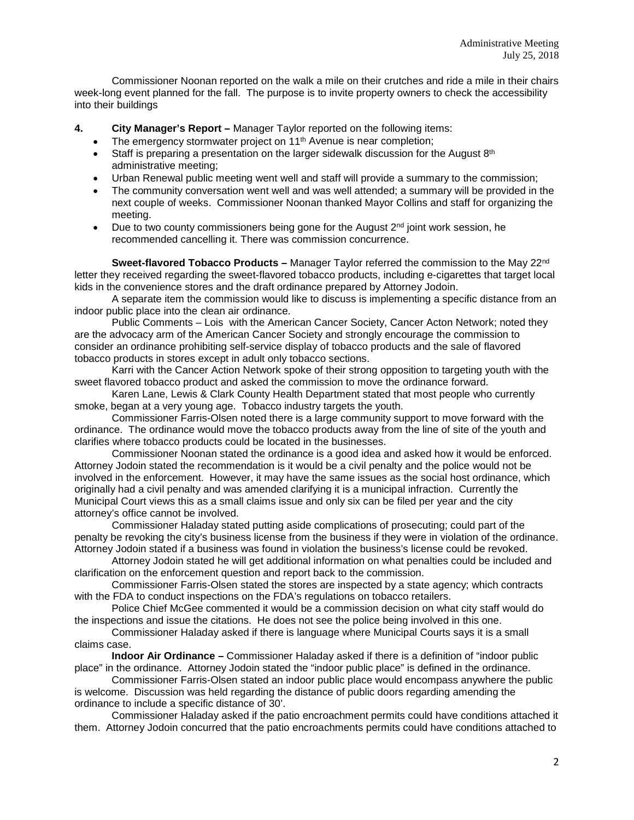Commissioner Noonan reported on the walk a mile on their crutches and ride a mile in their chairs week-long event planned for the fall. The purpose is to invite property owners to check the accessibility into their buildings

- **4. City Manager's Report –** Manager Taylor reported on the following items:
	- The emergency stormwater project on 11<sup>th</sup> Avenue is near completion;
	- Staff is preparing a presentation on the larger sidewalk discussion for the August  $8<sup>th</sup>$ administrative meeting;
	- Urban Renewal public meeting went well and staff will provide a summary to the commission;
	- The community conversation went well and was well attended; a summary will be provided in the next couple of weeks. Commissioner Noonan thanked Mayor Collins and staff for organizing the meeting.
	- Due to two county commissioners being gone for the August  $2^{nd}$  joint work session, he recommended cancelling it. There was commission concurrence.

**Sweet-flavored Tobacco Products –** Manager Taylor referred the commission to the May 22nd letter they received regarding the sweet-flavored tobacco products, including e-cigarettes that target local kids in the convenience stores and the draft ordinance prepared by Attorney Jodoin.

A separate item the commission would like to discuss is implementing a specific distance from an indoor public place into the clean air ordinance.

Public Comments – Lois with the American Cancer Society, Cancer Acton Network; noted they are the advocacy arm of the American Cancer Society and strongly encourage the commission to consider an ordinance prohibiting self-service display of tobacco products and the sale of flavored tobacco products in stores except in adult only tobacco sections.

Karri with the Cancer Action Network spoke of their strong opposition to targeting youth with the sweet flavored tobacco product and asked the commission to move the ordinance forward.

Karen Lane, Lewis & Clark County Health Department stated that most people who currently smoke, began at a very young age. Tobacco industry targets the youth.

Commissioner Farris-Olsen noted there is a large community support to move forward with the ordinance. The ordinance would move the tobacco products away from the line of site of the youth and clarifies where tobacco products could be located in the businesses.

Commissioner Noonan stated the ordinance is a good idea and asked how it would be enforced. Attorney Jodoin stated the recommendation is it would be a civil penalty and the police would not be involved in the enforcement. However, it may have the same issues as the social host ordinance, which originally had a civil penalty and was amended clarifying it is a municipal infraction. Currently the Municipal Court views this as a small claims issue and only six can be filed per year and the city attorney's office cannot be involved.

Commissioner Haladay stated putting aside complications of prosecuting; could part of the penalty be revoking the city's business license from the business if they were in violation of the ordinance. Attorney Jodoin stated if a business was found in violation the business's license could be revoked.

Attorney Jodoin stated he will get additional information on what penalties could be included and clarification on the enforcement question and report back to the commission.

Commissioner Farris-Olsen stated the stores are inspected by a state agency; which contracts with the FDA to conduct inspections on the FDA's regulations on tobacco retailers.

Police Chief McGee commented it would be a commission decision on what city staff would do the inspections and issue the citations. He does not see the police being involved in this one.

Commissioner Haladay asked if there is language where Municipal Courts says it is a small claims case.

**Indoor Air Ordinance –** Commissioner Haladay asked if there is a definition of "indoor public place" in the ordinance. Attorney Jodoin stated the "indoor public place" is defined in the ordinance.

Commissioner Farris-Olsen stated an indoor public place would encompass anywhere the public is welcome. Discussion was held regarding the distance of public doors regarding amending the ordinance to include a specific distance of 30'.

Commissioner Haladay asked if the patio encroachment permits could have conditions attached it them. Attorney Jodoin concurred that the patio encroachments permits could have conditions attached to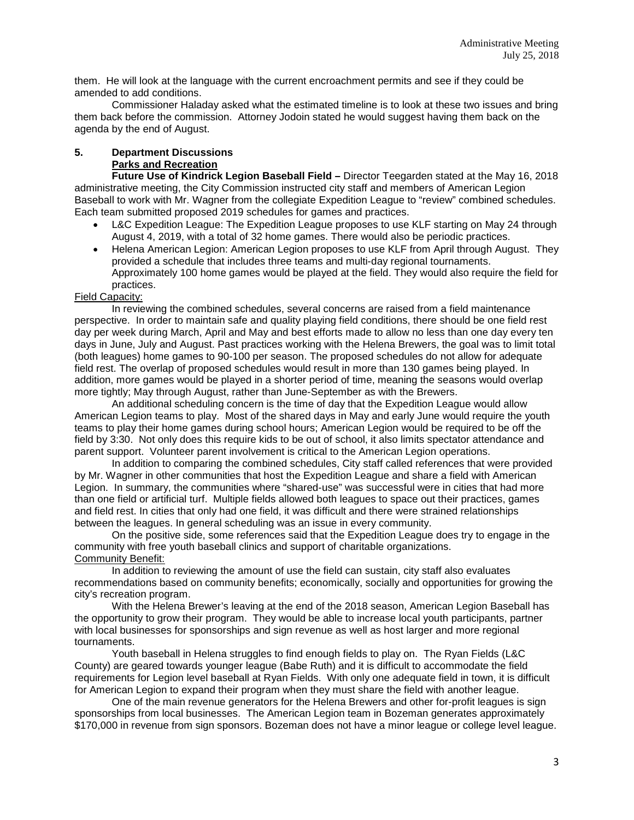them. He will look at the language with the current encroachment permits and see if they could be amended to add conditions.

Commissioner Haladay asked what the estimated timeline is to look at these two issues and bring them back before the commission. Attorney Jodoin stated he would suggest having them back on the agenda by the end of August.

# **5. Department Discussions Parks and Recreation**

**Future Use of Kindrick Legion Baseball Field –** Director Teegarden stated at the May 16, 2018 administrative meeting, the City Commission instructed city staff and members of American Legion Baseball to work with Mr. Wagner from the collegiate Expedition League to "review" combined schedules. Each team submitted proposed 2019 schedules for games and practices.

- L&C Expedition League: The Expedition League proposes to use KLF starting on May 24 through August 4, 2019, with a total of 32 home games. There would also be periodic practices.
- Helena American Legion: American Legion proposes to use KLF from April through August. They provided a schedule that includes three teams and multi-day regional tournaments. Approximately 100 home games would be played at the field. They would also require the field for practices.

## Field Capacity:

In reviewing the combined schedules, several concerns are raised from a field maintenance perspective. In order to maintain safe and quality playing field conditions, there should be one field rest day per week during March, April and May and best efforts made to allow no less than one day every ten days in June, July and August. Past practices working with the Helena Brewers, the goal was to limit total (both leagues) home games to 90-100 per season. The proposed schedules do not allow for adequate field rest. The overlap of proposed schedules would result in more than 130 games being played. In addition, more games would be played in a shorter period of time, meaning the seasons would overlap more tightly; May through August, rather than June-September as with the Brewers.

An additional scheduling concern is the time of day that the Expedition League would allow American Legion teams to play. Most of the shared days in May and early June would require the youth teams to play their home games during school hours; American Legion would be required to be off the field by 3:30. Not only does this require kids to be out of school, it also limits spectator attendance and parent support. Volunteer parent involvement is critical to the American Legion operations.

In addition to comparing the combined schedules, City staff called references that were provided by Mr. Wagner in other communities that host the Expedition League and share a field with American Legion. In summary, the communities where "shared-use" was successful were in cities that had more than one field or artificial turf. Multiple fields allowed both leagues to space out their practices, games and field rest. In cities that only had one field, it was difficult and there were strained relationships between the leagues. In general scheduling was an issue in every community.

On the positive side, some references said that the Expedition League does try to engage in the community with free youth baseball clinics and support of charitable organizations. Community Benefit:

In addition to reviewing the amount of use the field can sustain, city staff also evaluates recommendations based on community benefits; economically, socially and opportunities for growing the city's recreation program.

With the Helena Brewer's leaving at the end of the 2018 season, American Legion Baseball has the opportunity to grow their program. They would be able to increase local youth participants, partner with local businesses for sponsorships and sign revenue as well as host larger and more regional tournaments.

Youth baseball in Helena struggles to find enough fields to play on. The Ryan Fields (L&C County) are geared towards younger league (Babe Ruth) and it is difficult to accommodate the field requirements for Legion level baseball at Ryan Fields. With only one adequate field in town, it is difficult for American Legion to expand their program when they must share the field with another league.

One of the main revenue generators for the Helena Brewers and other for-profit leagues is sign sponsorships from local businesses. The American Legion team in Bozeman generates approximately \$170,000 in revenue from sign sponsors. Bozeman does not have a minor league or college level league.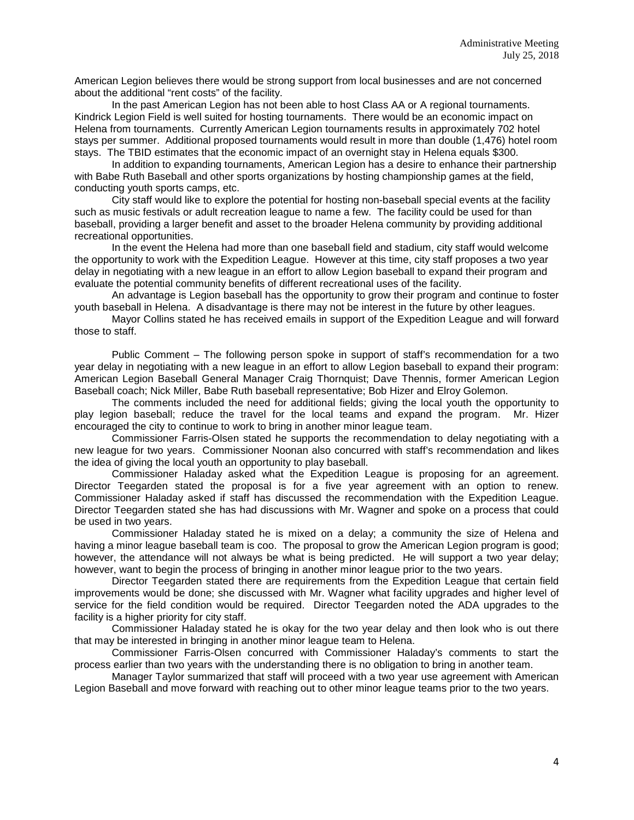American Legion believes there would be strong support from local businesses and are not concerned about the additional "rent costs" of the facility.

In the past American Legion has not been able to host Class AA or A regional tournaments. Kindrick Legion Field is well suited for hosting tournaments. There would be an economic impact on Helena from tournaments. Currently American Legion tournaments results in approximately 702 hotel stays per summer. Additional proposed tournaments would result in more than double (1,476) hotel room stays. The TBID estimates that the economic impact of an overnight stay in Helena equals \$300.

In addition to expanding tournaments, American Legion has a desire to enhance their partnership with Babe Ruth Baseball and other sports organizations by hosting championship games at the field, conducting youth sports camps, etc.

City staff would like to explore the potential for hosting non-baseball special events at the facility such as music festivals or adult recreation league to name a few. The facility could be used for than baseball, providing a larger benefit and asset to the broader Helena community by providing additional recreational opportunities.

In the event the Helena had more than one baseball field and stadium, city staff would welcome the opportunity to work with the Expedition League. However at this time, city staff proposes a two year delay in negotiating with a new league in an effort to allow Legion baseball to expand their program and evaluate the potential community benefits of different recreational uses of the facility.

An advantage is Legion baseball has the opportunity to grow their program and continue to foster youth baseball in Helena. A disadvantage is there may not be interest in the future by other leagues.

Mayor Collins stated he has received emails in support of the Expedition League and will forward those to staff.

Public Comment – The following person spoke in support of staff's recommendation for a two year delay in negotiating with a new league in an effort to allow Legion baseball to expand their program: American Legion Baseball General Manager Craig Thornquist; Dave Thennis, former American Legion Baseball coach; Nick Miller, Babe Ruth baseball representative; Bob Hizer and Elroy Golemon.

The comments included the need for additional fields; giving the local youth the opportunity to play legion baseball; reduce the travel for the local teams and expand the program. Mr. Hizer encouraged the city to continue to work to bring in another minor league team.

Commissioner Farris-Olsen stated he supports the recommendation to delay negotiating with a new league for two years. Commissioner Noonan also concurred with staff's recommendation and likes the idea of giving the local youth an opportunity to play baseball.

Commissioner Haladay asked what the Expedition League is proposing for an agreement. Director Teegarden stated the proposal is for a five year agreement with an option to renew. Commissioner Haladay asked if staff has discussed the recommendation with the Expedition League. Director Teegarden stated she has had discussions with Mr. Wagner and spoke on a process that could be used in two years.

Commissioner Haladay stated he is mixed on a delay; a community the size of Helena and having a minor league baseball team is coo. The proposal to grow the American Legion program is good; however, the attendance will not always be what is being predicted. He will support a two year delay; however, want to begin the process of bringing in another minor league prior to the two years.

Director Teegarden stated there are requirements from the Expedition League that certain field improvements would be done; she discussed with Mr. Wagner what facility upgrades and higher level of service for the field condition would be required. Director Teegarden noted the ADA upgrades to the facility is a higher priority for city staff.

Commissioner Haladay stated he is okay for the two year delay and then look who is out there that may be interested in bringing in another minor league team to Helena.

Commissioner Farris-Olsen concurred with Commissioner Haladay's comments to start the process earlier than two years with the understanding there is no obligation to bring in another team.

Manager Taylor summarized that staff will proceed with a two year use agreement with American Legion Baseball and move forward with reaching out to other minor league teams prior to the two years.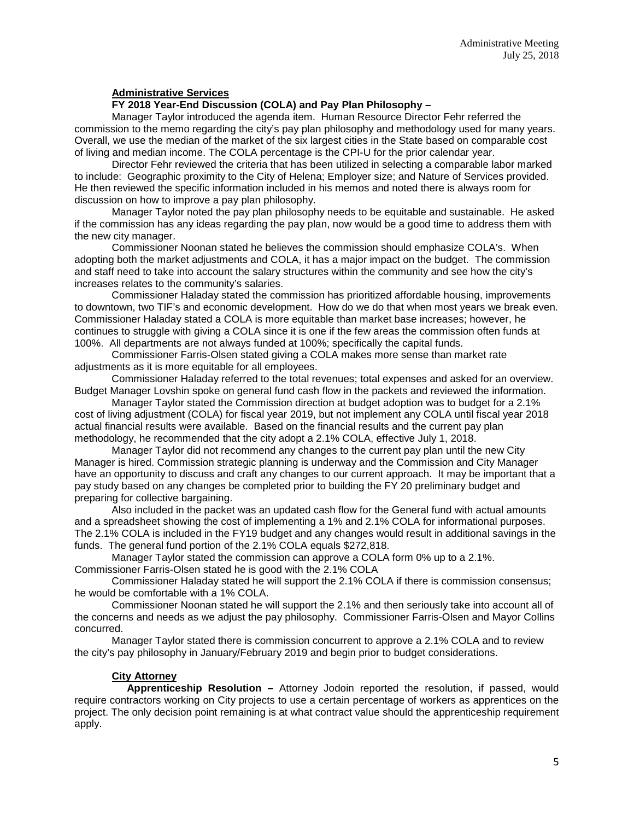### **Administrative Services**

### **FY 2018 Year-End Discussion (COLA) and Pay Plan Philosophy –**

Manager Taylor introduced the agenda item. Human Resource Director Fehr referred the commission to the memo regarding the city's pay plan philosophy and methodology used for many years. Overall, we use the median of the market of the six largest cities in the State based on comparable cost of living and median income. The COLA percentage is the CPI-U for the prior calendar year.

Director Fehr reviewed the criteria that has been utilized in selecting a comparable labor marked to include: Geographic proximity to the City of Helena; Employer size; and Nature of Services provided. He then reviewed the specific information included in his memos and noted there is always room for discussion on how to improve a pay plan philosophy.

Manager Taylor noted the pay plan philosophy needs to be equitable and sustainable. He asked if the commission has any ideas regarding the pay plan, now would be a good time to address them with the new city manager.

Commissioner Noonan stated he believes the commission should emphasize COLA's. When adopting both the market adjustments and COLA, it has a major impact on the budget. The commission and staff need to take into account the salary structures within the community and see how the city's increases relates to the community's salaries.

Commissioner Haladay stated the commission has prioritized affordable housing, improvements to downtown, two TIF's and economic development. How do we do that when most years we break even. Commissioner Haladay stated a COLA is more equitable than market base increases; however, he continues to struggle with giving a COLA since it is one if the few areas the commission often funds at 100%. All departments are not always funded at 100%; specifically the capital funds.

Commissioner Farris-Olsen stated giving a COLA makes more sense than market rate adjustments as it is more equitable for all employees.

Commissioner Haladay referred to the total revenues; total expenses and asked for an overview. Budget Manager Lovshin spoke on general fund cash flow in the packets and reviewed the information.

Manager Taylor stated the Commission direction at budget adoption was to budget for a 2.1% cost of living adjustment (COLA) for fiscal year 2019, but not implement any COLA until fiscal year 2018 actual financial results were available. Based on the financial results and the current pay plan methodology, he recommended that the city adopt a 2.1% COLA, effective July 1, 2018.

Manager Taylor did not recommend any changes to the current pay plan until the new City Manager is hired. Commission strategic planning is underway and the Commission and City Manager have an opportunity to discuss and craft any changes to our current approach. It may be important that a pay study based on any changes be completed prior to building the FY 20 preliminary budget and preparing for collective bargaining.

Also included in the packet was an updated cash flow for the General fund with actual amounts and a spreadsheet showing the cost of implementing a 1% and 2.1% COLA for informational purposes. The 2.1% COLA is included in the FY19 budget and any changes would result in additional savings in the funds. The general fund portion of the 2.1% COLA equals \$272,818.

Manager Taylor stated the commission can approve a COLA form 0% up to a 2.1%. Commissioner Farris-Olsen stated he is good with the 2.1% COLA

Commissioner Haladay stated he will support the 2.1% COLA if there is commission consensus; he would be comfortable with a 1% COLA.

Commissioner Noonan stated he will support the 2.1% and then seriously take into account all of the concerns and needs as we adjust the pay philosophy. Commissioner Farris-Olsen and Mayor Collins concurred.

Manager Taylor stated there is commission concurrent to approve a 2.1% COLA and to review the city's pay philosophy in January/February 2019 and begin prior to budget considerations.

#### **City Attorney**

**Apprenticeship Resolution –** Attorney Jodoin reported the resolution, if passed, would require contractors working on City projects to use a certain percentage of workers as apprentices on the project. The only decision point remaining is at what contract value should the apprenticeship requirement apply.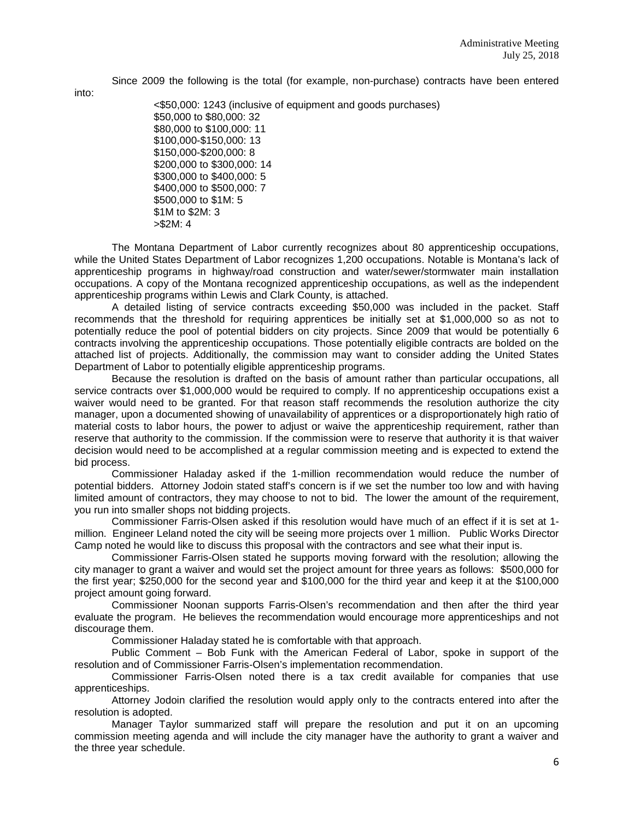Since 2009 the following is the total (for example, non-purchase) contracts have been entered

into:

<\$50,000: 1243 (inclusive of equipment and goods purchases) \$50,000 to \$80,000: 32 \$80,000 to \$100,000: 11 \$100,000-\$150,000: 13 \$150,000-\$200,000: 8 \$200,000 to \$300,000: 14 \$300,000 to \$400,000: 5 \$400,000 to \$500,000: 7 \$500,000 to \$1M: 5 \$1M to \$2M: 3 >\$2M: 4

The Montana Department of Labor currently recognizes about 80 apprenticeship occupations, while the United States Department of Labor recognizes 1,200 occupations. Notable is Montana's lack of apprenticeship programs in highway/road construction and water/sewer/stormwater main installation occupations. A copy of the Montana recognized apprenticeship occupations, as well as the independent apprenticeship programs within Lewis and Clark County, is attached.

A detailed listing of service contracts exceeding \$50,000 was included in the packet. Staff recommends that the threshold for requiring apprentices be initially set at \$1,000,000 so as not to potentially reduce the pool of potential bidders on city projects. Since 2009 that would be potentially 6 contracts involving the apprenticeship occupations. Those potentially eligible contracts are bolded on the attached list of projects. Additionally, the commission may want to consider adding the United States Department of Labor to potentially eligible apprenticeship programs.

Because the resolution is drafted on the basis of amount rather than particular occupations, all service contracts over \$1,000,000 would be required to comply. If no apprenticeship occupations exist a waiver would need to be granted. For that reason staff recommends the resolution authorize the city manager, upon a documented showing of unavailability of apprentices or a disproportionately high ratio of material costs to labor hours, the power to adjust or waive the apprenticeship requirement, rather than reserve that authority to the commission. If the commission were to reserve that authority it is that waiver decision would need to be accomplished at a regular commission meeting and is expected to extend the bid process.

Commissioner Haladay asked if the 1-million recommendation would reduce the number of potential bidders. Attorney Jodoin stated staff's concern is if we set the number too low and with having limited amount of contractors, they may choose to not to bid. The lower the amount of the requirement, you run into smaller shops not bidding projects.

Commissioner Farris-Olsen asked if this resolution would have much of an effect if it is set at 1 million. Engineer Leland noted the city will be seeing more projects over 1 million. Public Works Director Camp noted he would like to discuss this proposal with the contractors and see what their input is.

Commissioner Farris-Olsen stated he supports moving forward with the resolution; allowing the city manager to grant a waiver and would set the project amount for three years as follows: \$500,000 for the first year; \$250,000 for the second year and \$100,000 for the third year and keep it at the \$100,000 project amount going forward.

Commissioner Noonan supports Farris-Olsen's recommendation and then after the third year evaluate the program. He believes the recommendation would encourage more apprenticeships and not discourage them.

Commissioner Haladay stated he is comfortable with that approach.

Public Comment – Bob Funk with the American Federal of Labor, spoke in support of the resolution and of Commissioner Farris-Olsen's implementation recommendation.

Commissioner Farris-Olsen noted there is a tax credit available for companies that use apprenticeships.

Attorney Jodoin clarified the resolution would apply only to the contracts entered into after the resolution is adopted.

Manager Taylor summarized staff will prepare the resolution and put it on an upcoming commission meeting agenda and will include the city manager have the authority to grant a waiver and the three year schedule.